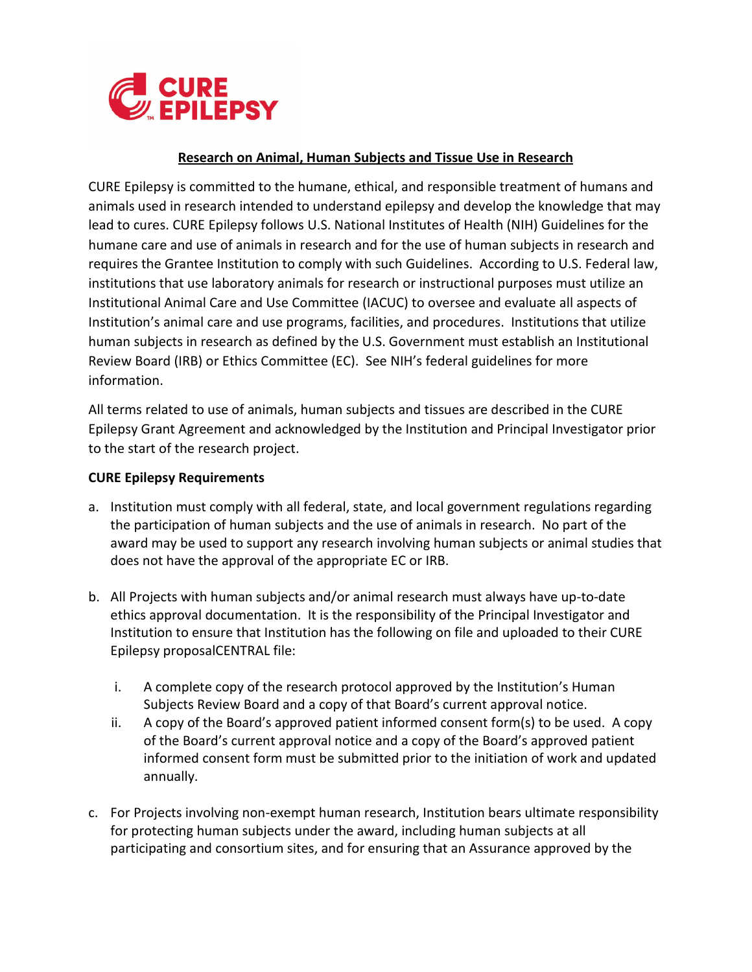

## **Research on Animal, Human Subjects and Tissue Use in Research**

CURE Epilepsy is committed to the humane, ethical, and responsible treatment of humans and animals used in research intended to understand epilepsy and develop the knowledge that may lead to cures. CURE Epilepsy follows U.S. National Institutes of Health (NIH) Guidelines for the humane care and use of animals in research and for the use of human subjects in research and requires the Grantee Institution to comply with such Guidelines. According to U.S. Federal law, institutions that use laboratory animals for research or instructional purposes must utilize an Institutional Animal Care and Use Committee (IACUC) to oversee and evaluate all aspects of Institution's animal care and use programs, facilities, and procedures. Institutions that utilize human subjects in research as defined by the U.S. Government must establish an Institutional Review Board (IRB) or Ethics Committee (EC). See NIH's federal guidelines for more information.

All terms related to use of animals, human subjects and tissues are described in the CURE Epilepsy Grant Agreement and acknowledged by the Institution and Principal Investigator prior to the start of the research project.

## **CURE Epilepsy Requirements**

- a. Institution must comply with all federal, state, and local government regulations regarding the participation of human subjects and the use of animals in research. No part of the award may be used to support any research involving human subjects or animal studies that does not have the approval of the appropriate EC or IRB.
- b. All Projects with human subjects and/or animal research must always have up-to-date ethics approval documentation. It is the responsibility of the Principal Investigator and Institution to ensure that Institution has the following on file and uploaded to their CURE Epilepsy proposalCENTRAL file:
	- i. A complete copy of the research protocol approved by the Institution's Human Subjects Review Board and a copy of that Board's current approval notice.
	- ii. A copy of the Board's approved patient informed consent form(s) to be used. A copy of the Board's current approval notice and a copy of the Board's approved patient informed consent form must be submitted prior to the initiation of work and updated annually.
- c. For Projects involving non-exempt human research, Institution bears ultimate responsibility for protecting human subjects under the award, including human subjects at all participating and consortium sites, and for ensuring that an Assurance approved by the